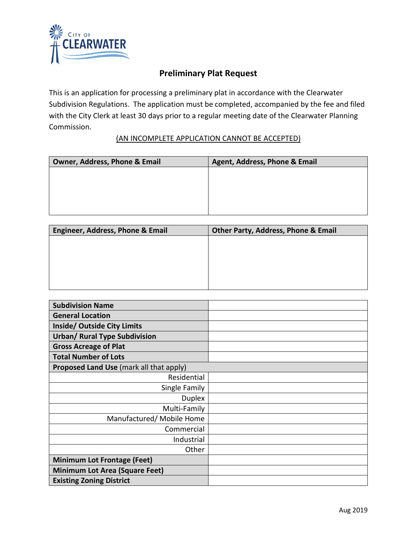

## **Preliminary Plat Request**

This is an application for processing a preliminary plat in accordance with the Clearwater Subdivision Regulations. The application must be completed, accompanied by the fee and filed with the City Clerk at least 30 days prior to a regular meeting date of the Clearwater Planning Commission.

## (AN INCOMPLETE APPLICATION CANNOT BE ACCEPTED)

| Owner, Address, Phone & Email | Agent, Address, Phone & Email |
|-------------------------------|-------------------------------|
|                               |                               |
|                               |                               |
|                               |                               |
|                               |                               |
|                               |                               |

| <b>Engineer, Address, Phone &amp; Email</b> | Other Party, Address, Phone & Email |
|---------------------------------------------|-------------------------------------|
|                                             |                                     |
|                                             |                                     |
|                                             |                                     |
|                                             |                                     |
|                                             |                                     |

| <b>Subdivision Name</b>                 |  |
|-----------------------------------------|--|
| <b>General Location</b>                 |  |
| <b>Inside/ Outside City Limits</b>      |  |
| <b>Urban/ Rural Type Subdivision</b>    |  |
| <b>Gross Acreage of Plat</b>            |  |
| <b>Total Number of Lots</b>             |  |
| Proposed Land Use (mark all that apply) |  |
| Residential                             |  |
| Single Family                           |  |
| <b>Duplex</b>                           |  |
| Multi-Family                            |  |
| Manufactured/ Mobile Home               |  |
| Commercial                              |  |
| Industrial                              |  |
| Other                                   |  |
| <b>Minimum Lot Frontage (Feet)</b>      |  |
| <b>Minimum Lot Area (Square Feet)</b>   |  |
| <b>Existing Zoning District</b>         |  |